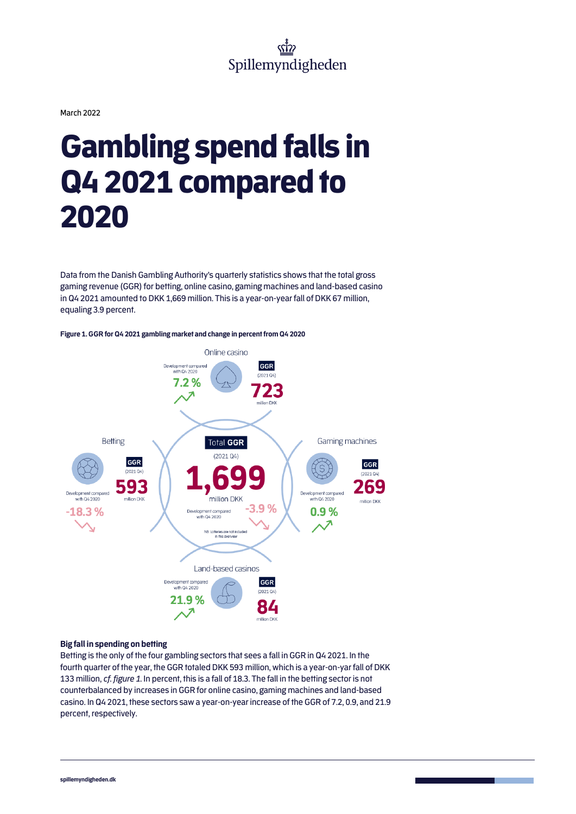March 2022

# Gambling spend falls in Q4 2021 compared to 2020

Data from the Danish Gambling Authority's quarterly statistics shows that the total gross gaming revenue (GGR) for betting, online casino, gaming machines and land-based casino in Q4 2021 amounted to DKK 1,669 million. This is a year-on-year fall of DKK 67 million, equaling 3.9 percent.





## **Big fall in spending on betting**

Betting is the only of the four gambling sectors that sees a fall in GGR in Q4 2021. In the fourth quarter of the year, the GGR totaled DKK 593 million, which is a year-on-yar fall of DKK 133 million, *cf. figure 1*. In percent, this is a fall of 18.3. The fall in the betting sector is not counterbalanced by increases in GGR for online casino, gaming machines and land-based casino. In Q4 2021, these sectors saw a year-on-year increase of the GGR of 7.2, 0.9, and 21.9 percent, respectively.